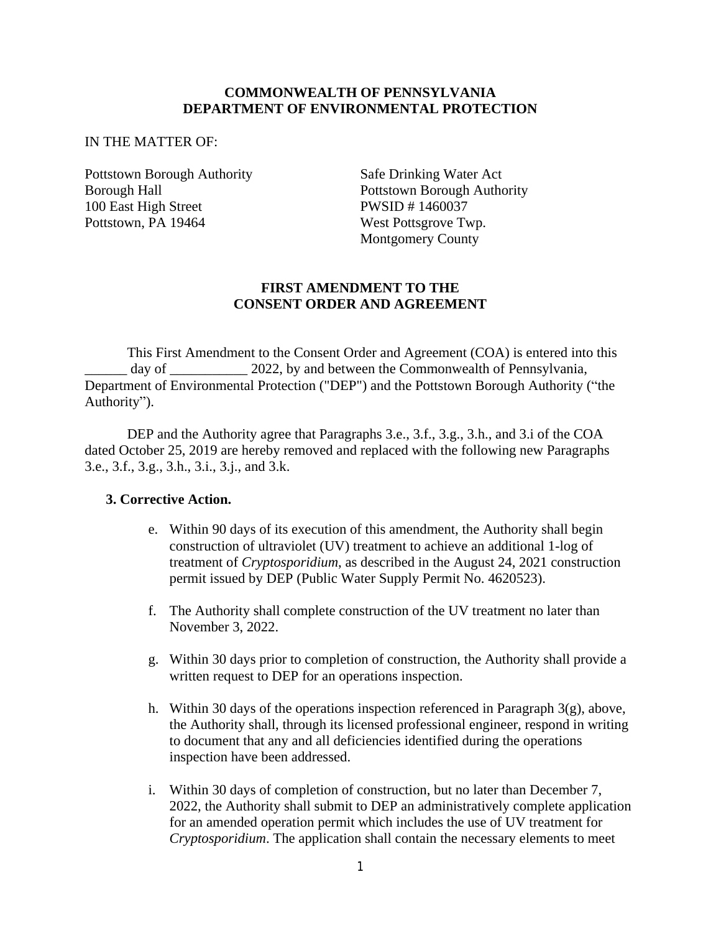### **COMMONWEALTH OF PENNSYLVANIA DEPARTMENT OF ENVIRONMENTAL PROTECTION**

#### IN THE MATTER OF:

Pottstown Borough Authority Safe Drinking Water Act 100 East High Street PWSID # 1460037 Pottstown, PA 19464 West Pottsgrove Twp.

Borough Hall **Pottstown Borough Authority** Montgomery County

#### **FIRST AMENDMENT TO THE CONSENT ORDER AND AGREEMENT**

This First Amendment to the Consent Order and Agreement (COA) is entered into this day of 2022, by and between the Commonwealth of Pennsylvania, Department of Environmental Protection ("DEP") and the Pottstown Borough Authority ("the Authority").

DEP and the Authority agree that Paragraphs 3.e., 3.f., 3.g., 3.h., and 3.i of the COA dated October 25, 2019 are hereby removed and replaced with the following new Paragraphs 3.e., 3.f., 3.g., 3.h., 3.i., 3.j., and 3.k.

### **3. Corrective Action.**

- e. Within 90 days of its execution of this amendment, the Authority shall begin construction of ultraviolet (UV) treatment to achieve an additional 1-log of treatment of *Cryptosporidium*, as described in the August 24, 2021 construction permit issued by DEP (Public Water Supply Permit No. 4620523).
- f. The Authority shall complete construction of the UV treatment no later than November 3, 2022.
- g. Within 30 days prior to completion of construction, the Authority shall provide a written request to DEP for an operations inspection.
- h. Within 30 days of the operations inspection referenced in Paragraph 3(g), above, the Authority shall, through its licensed professional engineer, respond in writing to document that any and all deficiencies identified during the operations inspection have been addressed.
- i. Within 30 days of completion of construction, but no later than December 7, 2022, the Authority shall submit to DEP an administratively complete application for an amended operation permit which includes the use of UV treatment for *Cryptosporidium*. The application shall contain the necessary elements to meet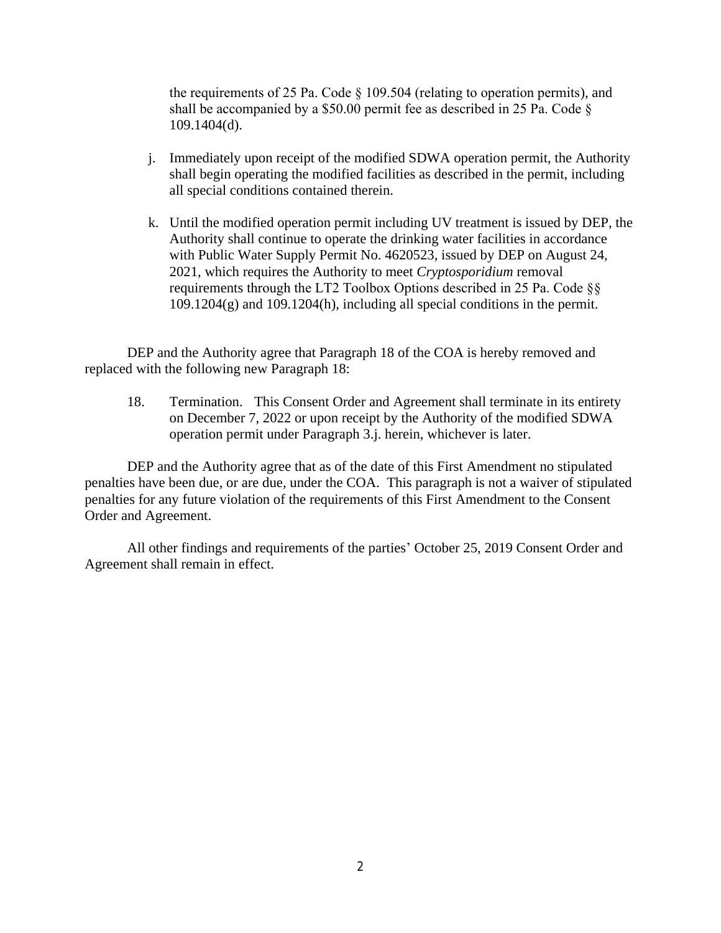the requirements of 25 Pa. Code § 109.504 (relating to operation permits), and shall be accompanied by a \$50.00 permit fee as described in 25 Pa. Code § 109.1404(d).

- j. Immediately upon receipt of the modified SDWA operation permit, the Authority shall begin operating the modified facilities as described in the permit, including all special conditions contained therein.
- k. Until the modified operation permit including UV treatment is issued by DEP, the Authority shall continue to operate the drinking water facilities in accordance with Public Water Supply Permit No. 4620523, issued by DEP on August 24, 2021, which requires the Authority to meet *Cryptosporidium* removal requirements through the LT2 Toolbox Options described in 25 Pa. Code §§  $109.1204(g)$  and  $109.1204(h)$ , including all special conditions in the permit.

DEP and the Authority agree that Paragraph 18 of the COA is hereby removed and replaced with the following new Paragraph 18:

18. Termination. This Consent Order and Agreement shall terminate in its entirety on December 7, 2022 or upon receipt by the Authority of the modified SDWA operation permit under Paragraph 3.j. herein, whichever is later.

DEP and the Authority agree that as of the date of this First Amendment no stipulated penalties have been due, or are due, under the COA. This paragraph is not a waiver of stipulated penalties for any future violation of the requirements of this First Amendment to the Consent Order and Agreement.

All other findings and requirements of the parties' October 25, 2019 Consent Order and Agreement shall remain in effect.